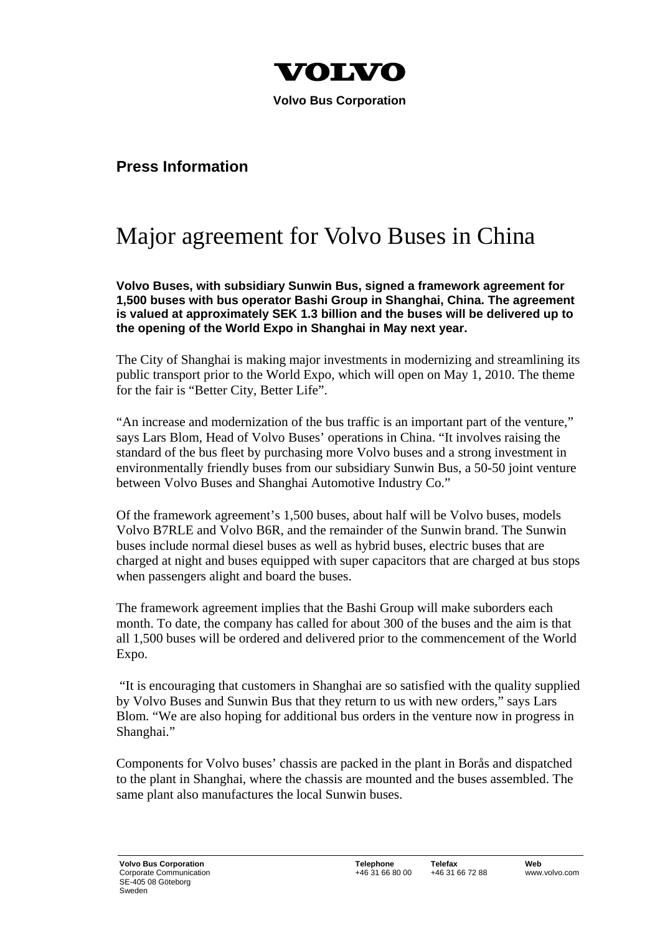

**Volvo Bus Corporation** 

## **Press Information**

## Major agreement for Volvo Buses in China

**Volvo Buses, with subsidiary Sunwin Bus, signed a framework agreement for 1,500 buses with bus operator Bashi Group in Shanghai, China. The agreement is valued at approximately SEK 1.3 billion and the buses will be delivered up to the opening of the World Expo in Shanghai in May next year.** 

The City of Shanghai is making major investments in modernizing and streamlining its public transport prior to the World Expo, which will open on May 1, 2010. The theme for the fair is "Better City, Better Life".

"An increase and modernization of the bus traffic is an important part of the venture," says Lars Blom, Head of Volvo Buses' operations in China. "It involves raising the standard of the bus fleet by purchasing more Volvo buses and a strong investment in environmentally friendly buses from our subsidiary Sunwin Bus, a 50-50 joint venture between Volvo Buses and Shanghai Automotive Industry Co."

Of the framework agreement's 1,500 buses, about half will be Volvo buses, models Volvo B7RLE and Volvo B6R, and the remainder of the Sunwin brand. The Sunwin buses include normal diesel buses as well as hybrid buses, electric buses that are charged at night and buses equipped with super capacitors that are charged at bus stops when passengers alight and board the buses.

The framework agreement implies that the Bashi Group will make suborders each month. To date, the company has called for about 300 of the buses and the aim is that all 1,500 buses will be ordered and delivered prior to the commencement of the World Expo.

 "It is encouraging that customers in Shanghai are so satisfied with the quality supplied by Volvo Buses and Sunwin Bus that they return to us with new orders," says Lars Blom. "We are also hoping for additional bus orders in the venture now in progress in Shanghai."

Components for Volvo buses' chassis are packed in the plant in Borås and dispatched to the plant in Shanghai, where the chassis are mounted and the buses assembled. The same plant also manufactures the local Sunwin buses.